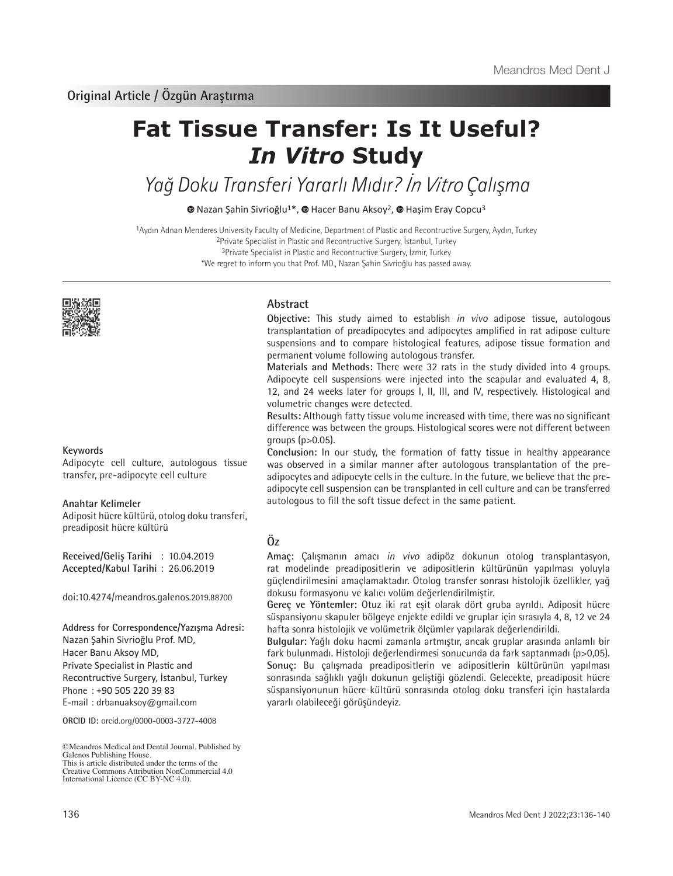# **Fat Tissue Transfer: Is It Useful?**  *In Vitro* **Study**

# Yağ Doku Transferi Yararlı Mıdır? İn Vitro Çalışma

 $\bullet$ Nazan Şahin Sivrioğlu<sup>1\*</sup>,  $\bullet$  Hacer Banu Aksoy<sup>2</sup>,  $\bullet$  Haşim Eray Copcu<sup>3</sup>

Aydın Adnan Menderes University Faculty of Medicine, Department of Plastic and Recontructive Surgery, Aydın, Turkey Private Specialist in Plastic and Recontructive Surgery, İstanbul, Turkey Private Specialist in Plastic and Recontructive Surgery, İzmir, Turkey \*We regret to inform you that Prof. MD., Nazan Şahin Sivrioğlu has passed away.



#### **Keywords**

Adipocyte cell culture, autologous tissue transfer, pre-adipocyte cell culture

#### **Anahtar Kelimeler**

Adiposit hücre kültürü, otolog doku transferi, preadiposit hücre kültürü

**Received/Geliş Tarihi** : 10.04.2019 **Accepted/Kabul Tarihi** : 26.06.2019

doi:10.4274/meandros.galenos.2019.88700

**Address for Correspondence/Yazışma Adresi:** Nazan Şahin Sivrioğlu Prof. MD, Hacer Banu Aksoy MD, Private Specialist in Plastic and Recontructive Surgery, İstanbul, Turkey Phone : +90 505 220 39 83 E-mail : drbanuaksoy@gmail.com

**ORCID ID:** orcid.org/0000-0003-3727-4008

**Abstract**

**Objective:** This study aimed to establish *in vivo* adipose tissue, autologous transplantation of preadipocytes and adipocytes amplified in rat adipose culture suspensions and to compare histological features, adipose tissue formation and permanent volume following autologous transfer.

**Materials and Methods:** There were 32 rats in the study divided into 4 groups. Adipocyte cell suspensions were injected into the scapular and evaluated 4, 8, 12, and 24 weeks later for groups I, II, III, and IV, respectively. Histological and volumetric changes were detected.

**Results:** Although fatty tissue volume increased with time, there was no significant difference was between the groups. Histological scores were not different between groups  $(p>0.05)$ .

**Conclusion:** In our study, the formation of fatty tissue in healthy appearance was observed in a similar manner after autologous transplantation of the preadipocytes and adipocyte cells in the culture. In the future, we believe that the preadipocyte cell suspension can be transplanted in cell culture and can be transferred autologous to fill the soft tissue defect in the same patient.

# **Öz**

**Amaç:** Çalışmanın amacı *in vivo* adipöz dokunun otolog transplantasyon, rat modelinde preadipositlerin ve adipositlerin kültürünün yapılması yoluyla güçlendirilmesini amaçlamaktadır. Otolog transfer sonrası histolojik özellikler, yağ dokusu formasyonu ve kalıcı volüm değerlendirilmiştir.

**Gereç ve Yöntemler:** Otuz iki rat eşit olarak dört gruba ayrıldı. Adiposit hücre süspansiyonu skapuler bölgeye enjekte edildi ve gruplar için sırasıyla 4, 8, 12 ve 24 hafta sonra histolojik ve volümetrik ölçümler yapılarak değerlendirildi.

**Bulgular:** Yağlı doku hacmi zamanla artmıştır, ancak gruplar arasında anlamlı bir fark bulunmadı. Histoloji değerlendirmesi sonucunda da fark saptanmadı (p>0,05). **Sonuç:** Bu çalışmada preadipositlerin ve adipositlerin kültürünün yapılması sonrasında sağlıklı yağlı dokunun geliştiği gözlendi. Gelecekte, preadiposit hücre süspansiyonunun hücre kültürü sonrasında otolog doku transferi için hastalarda yararlı olabileceği görüşündeyiz.

<sup>©</sup>Meandros Medical and Dental Journal, Published by Galenos Publishing House. This is article distributed under the terms of the Creative Commons Attribution NonCommercial 4.0 International Licence (CC BY-NC 4.0).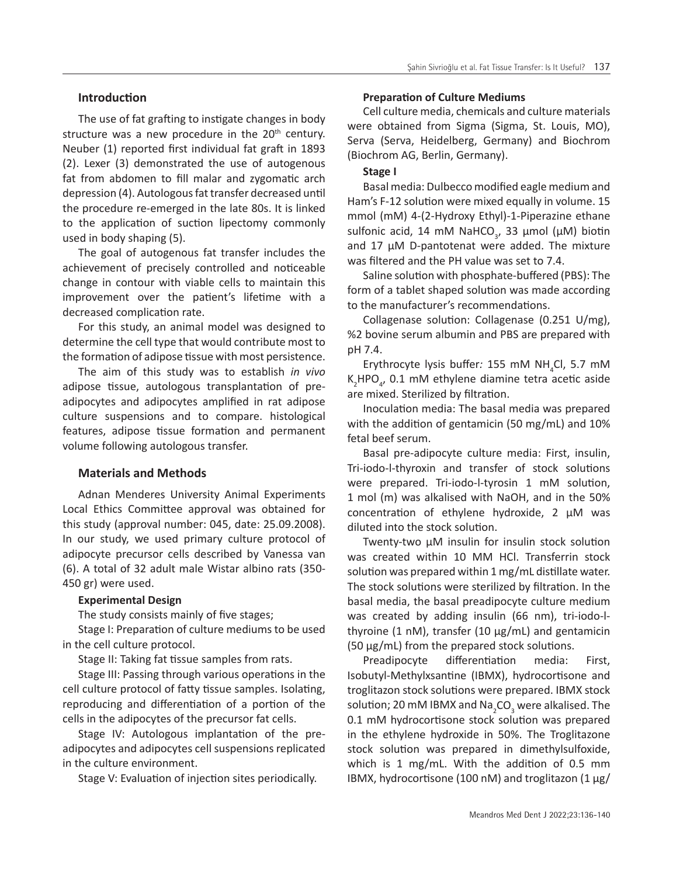# **Introduction**

The use of fat grafting to instigate changes in body structure was a new procedure in the  $20<sup>th</sup>$  century. Neuber (1) reported first individual fat graft in 1893 (2). Lexer (3) demonstrated the use of autogenous fat from abdomen to fill malar and zygomatic arch depression (4). Autologous fat transfer decreased until the procedure re-emerged in the late 80s. It is linked to the application of suction lipectomy commonly used in body shaping (5).

The goal of autogenous fat transfer includes the achievement of precisely controlled and noticeable change in contour with viable cells to maintain this improvement over the patient's lifetime with a decreased complication rate.

For this study, an animal model was designed to determine the cell type that would contribute most to the formation of adipose tissue with most persistence.

The aim of this study was to establish *in vivo*  adipose tissue, autologous transplantation of preadipocytes and adipocytes amplified in rat adipose culture suspensions and to compare. histological features, adipose tissue formation and permanent volume following autologous transfer.

# **Materials and Methods**

Adnan Menderes University Animal Experiments Local Ethics Committee approval was obtained for this study (approval number: 045, date: 25.09.2008). In our study, we used primary culture protocol of adipocyte precursor cells described by Vanessa van (6). A total of 32 adult male Wistar albino rats (350- 450 gr) were used.

# **Experimental Design**

The study consists mainly of five stages;

Stage I: Preparation of culture mediums to be used in the cell culture protocol.

Stage II: Taking fat tissue samples from rats.

Stage III: Passing through various operations in the cell culture protocol of fatty tissue samples. Isolating, reproducing and differentiation of a portion of the cells in the adipocytes of the precursor fat cells.

Stage IV: Autologous implantation of the preadipocytes and adipocytes cell suspensions replicated in the culture environment.

Stage V: Evaluation of injection sites periodically.

#### **Preparation of Culture Mediums**

Cell culture media, chemicals and culture materials were obtained from Sigma (Sigma, St. Louis, MO), Serva (Serva, Heidelberg, Germany) and Biochrom (Biochrom AG, Berlin, Germany).

# **Stage I**

Basal media: Dulbecco modified eagle medium and Ham's F-12 solution were mixed equally in volume. 15 mmol (mM) 4-(2-Hydroxy Ethyl)-1-Piperazine ethane sulfonic acid, 14 mM NaHCO<sub>3</sub>, 33  $\mu$ mol ( $\mu$ M) biotin and 17 µM D-pantotenat were added. The mixture was filtered and the PH value was set to 7.4.

Saline solution with phosphate-buffered (PBS): The form of a tablet shaped solution was made according to the manufacturer's recommendations.

Collagenase solution: Collagenase (0.251 U/mg), %2 bovine serum albumin and PBS are prepared with pH 7.4.

Erythrocyte lysis buffer: 155 mM NH<sub>4</sub>Cl, 5.7 mM  $K_2$ HPO<sub>4</sub>, 0.1 mM ethylene diamine tetra acetic aside are mixed. Sterilized by filtration.

Inoculation media: The basal media was prepared with the addition of gentamicin (50 mg/mL) and 10% fetal beef serum.

Basal pre-adipocyte culture media: First, insulin, Tri-iodo-l-thyroxin and transfer of stock solutions were prepared. Tri-iodo-l-tyrosin 1 mM solution, 1 mol (m) was alkalised with NaOH, and in the 50% concentration of ethylene hydroxide, 2 µM was diluted into the stock solution.

Twenty-two µM insulin for insulin stock solution was created within 10 MM HCl. Transferrin stock solution was prepared within 1 mg/mL distillate water. The stock solutions were sterilized by filtration. In the basal media, the basal preadipocyte culture medium was created by adding insulin (66 nm), tri-iodo-lthyroine (1 nM), transfer (10 µg/mL) and gentamicin (50 µg/mL) from the prepared stock solutions.

Preadipocyte differentiation media: First, Isobutyl-Methylxsantine (IBMX), hydrocortisone and troglitazon stock solutions were prepared. IBMX stock solution; 20 mM IBMX and Na<sub>2</sub>CO<sub>3</sub> were alkalised. The 0.1 mM hydrocortisone stock solution was prepared in the ethylene hydroxide in 50%. The Troglitazone stock solution was prepared in dimethylsulfoxide, which is 1 mg/mL. With the addition of 0.5 mm IBMX, hydrocortisone (100 nM) and troglitazon (1  $\mu$ g/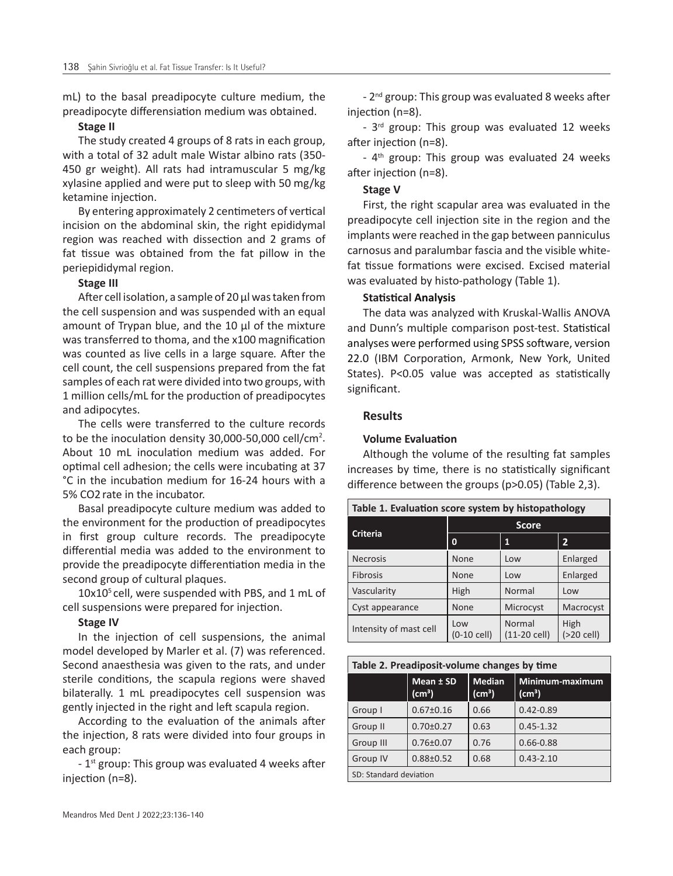mL) to the basal preadipocyte culture medium, the preadipocyte differensiation medium was obtained.

#### **Stage II**

The study created 4 groups of 8 rats in each group, with a total of 32 adult male Wistar albino rats (350- 450 gr weight). All rats had intramuscular 5 mg/kg xylasine applied and were put to sleep with 50 mg/kg ketamine injection.

By entering approximately 2 centimeters of vertical incision on the abdominal skin, the right epididymal region was reached with dissection and 2 grams of fat tissue was obtained from the fat pillow in the periepididymal region.

#### **Stage III**

After cell isolation, a sample of 20 µl was taken from the cell suspension and was suspended with an equal amount of Trypan blue, and the 10 µl of the mixture was transferred to thoma, and the x100 magnification was counted as live cells in a large square*.* After the cell count, the cell suspensions prepared from the fat samples of each rat were divided into two groups, with 1 million cells/mL for the production of preadipocytes and adipocytes.

The cells were transferred to the culture records to be the inoculation density 30,000-50,000 cell/cm<sup>2</sup>. About 10 mL inoculation medium was added. For optimal cell adhesion; the cells were incubating at 37 °C in the incubation medium for 16-24 hours with a 5% CO2 rate in the incubator.

Basal preadipocyte culture medium was added to the environment for the production of preadipocytes in first group culture records. The preadipocyte differential media was added to the environment to provide the preadipocyte differentiation media in the second group of cultural plaques.

 $10x10<sup>5</sup>$  cell, were suspended with PBS, and 1 mL of cell suspensions were prepared for injection.

#### **Stage IV**

In the injection of cell suspensions, the animal model developed by Marler et al. (7) was referenced. Second anaesthesia was given to the rats, and under sterile conditions, the scapula regions were shaved bilaterally. 1 mL preadipocytes cell suspension was gently injected in the right and left scapula region.

According to the evaluation of the animals after the injection, 8 rats were divided into four groups in each group:

 $-1$ <sup>st</sup> group: This group was evaluated 4 weeks after injection (n=8).

- 2<sup>nd</sup> group: This group was evaluated 8 weeks after injection (n=8).

- 3<sup>rd</sup> group: This group was evaluated 12 weeks after injection (n=8).

- 4<sup>th</sup> group: This group was evaluated 24 weeks after injection (n=8).

#### **Stage V**

First, the right scapular area was evaluated in the preadipocyte cell injection site in the region and the implants were reached in the gap between panniculus carnosus and paralumbar fascia and the visible whitefat tissue formations were excised. Excised material was evaluated by histo-pathology (Table 1).

# **Statistical Analysis**

The data was analyzed with Kruskal-Wallis ANOVA and Dunn's multiple comparison post-test. Statistical analyses were performed using SPSS software, version 22.0 (IBM Corporation, Armonk, New York, United States). P<0.05 value was accepted as statistically significant.

# **Results**

#### **Volume Evaluation**

Although the volume of the resulting fat samples increases by time, there is no statistically significant difference between the groups (p>0.05) (Table 2,3).

| Table 1. Evaluation score system by histopathology |                      |                          |                    |  |  |
|----------------------------------------------------|----------------------|--------------------------|--------------------|--|--|
| <b>Criteria</b>                                    | <b>Score</b>         |                          |                    |  |  |
|                                                    | $\bf{0}$             | 1                        | $\overline{2}$     |  |  |
| <b>Necrosis</b>                                    | None                 | Low                      | Enlarged           |  |  |
| <b>Fibrosis</b>                                    | <b>None</b>          | Low                      | Enlarged           |  |  |
| Vascularity                                        | High                 | Normal                   | Low                |  |  |
| Cyst appearance                                    | None                 | Microcyst                | Macrocyst          |  |  |
| Intensity of mast cell                             | Low<br>$(0-10$ cell) | Normal<br>$(11-20$ cell) | High<br>(>20 cell) |  |  |

| Table 2. Preadiposit-volume changes by time |                                 |                                     |                                    |  |  |  |
|---------------------------------------------|---------------------------------|-------------------------------------|------------------------------------|--|--|--|
|                                             | Mean ± SD<br>(cm <sup>3</sup> ) | <b>Median</b><br>(cm <sup>3</sup> ) | Minimum-maximum<br>$\text{(cm}^3)$ |  |  |  |
| Group I                                     | $0.67 \pm 0.16$                 | 0.66                                | $0.42 - 0.89$                      |  |  |  |
| Group II                                    | $0.70 \pm 0.27$                 | 0.63                                | $0.45 - 1.32$                      |  |  |  |
| Group III                                   | $0.76 \pm 0.07$                 | 0.76                                | $0.66 - 0.88$                      |  |  |  |
| Group IV                                    | $0.88 \pm 0.52$                 | 0.68                                | $0.43 - 2.10$                      |  |  |  |
| SD: Standard deviation                      |                                 |                                     |                                    |  |  |  |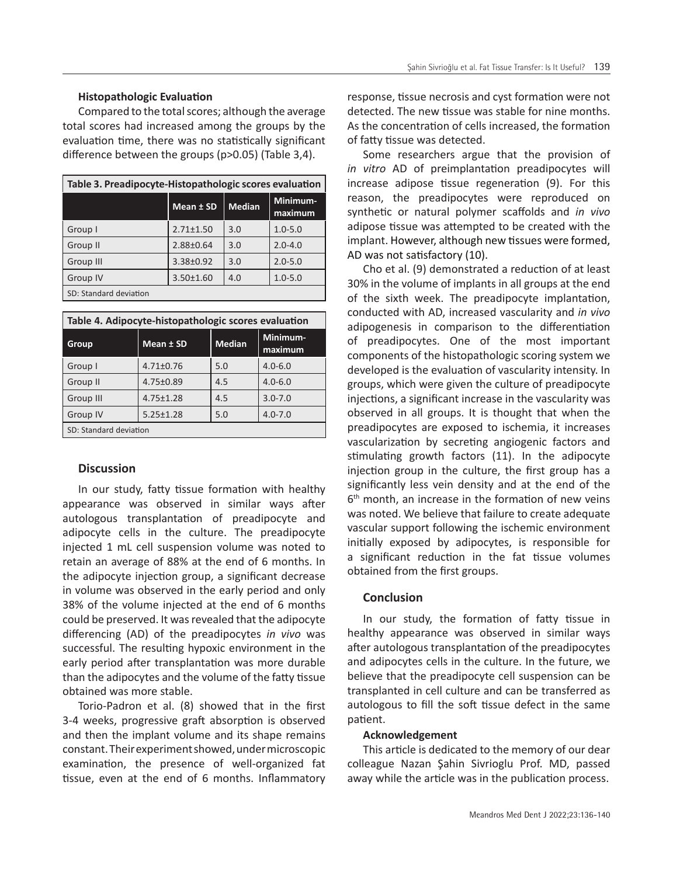#### **Histopathologic Evaluation**

Compared to the total scores; although the average total scores had increased among the groups by the evaluation time, there was no statistically significant difference between the groups (p>0.05) (Table 3,4).

| Table 3. Preadipocyte-Histopathologic scores evaluation |                 |               |                     |  |  |
|---------------------------------------------------------|-----------------|---------------|---------------------|--|--|
|                                                         | Mean ± SD       | <b>Median</b> | Minimum-<br>maximum |  |  |
| Group I                                                 | $2.71 \pm 1.50$ | 3.0           | $1.0 - 5.0$         |  |  |
| Group II                                                | $2.88 \pm 0.64$ | 3.0           | $2.0 - 4.0$         |  |  |
| Group III                                               | $3.38 \pm 0.92$ | 3.0           | $2.0 - 5.0$         |  |  |
| Group IV                                                | $3.50 \pm 1.60$ | 4.0           | $1.0 - 5.0$         |  |  |
| SD: Standard deviation                                  |                 |               |                     |  |  |

| Table 4. Adipocyte-histopathologic scores evaluation |                 |               |                     |  |  |
|------------------------------------------------------|-----------------|---------------|---------------------|--|--|
| Group                                                | Mean ± SD       | <b>Median</b> | Minimum-<br>maximum |  |  |
| Group I                                              | $4.71 \pm 0.76$ | 5.0           | $4.0 - 6.0$         |  |  |
| Group II                                             | 4.75±0.89       | 4.5           | $4.0 - 6.0$         |  |  |
| Group III                                            | $4.75 \pm 1.28$ | 4.5           | $3.0 - 7.0$         |  |  |
| Group IV                                             | $5.25 \pm 1.28$ | 5.0           | $4.0 - 7.0$         |  |  |
| SD: Standard deviation                               |                 |               |                     |  |  |

#### **Discussion**

In our study, fatty tissue formation with healthy appearance was observed in similar ways after autologous transplantation of preadipocyte and adipocyte cells in the culture. The preadipocyte injected 1 mL cell suspension volume was noted to retain an average of 88% at the end of 6 months. In the adipocyte injection group, a significant decrease in volume was observed in the early period and only 38% of the volume injected at the end of 6 months could be preserved. It was revealed that the adipocyte differencing (AD) of the preadipocytes *in vivo* was successful. The resulting hypoxic environment in the early period after transplantation was more durable than the adipocytes and the volume of the fatty tissue obtained was more stable.

Torio-Padron et al. (8) showed that in the first 3-4 weeks, progressive graft absorption is observed and then the implant volume and its shape remains constant. Their experiment showed, under microscopic examination, the presence of well-organized fat tissue, even at the end of 6 months. Inflammatory response, tissue necrosis and cyst formation were not detected. The new tissue was stable for nine months. As the concentration of cells increased, the formation of fatty tissue was detected.

Some researchers argue that the provision of *in vitro* AD of preimplantation preadipocytes will increase adipose tissue regeneration (9). For this reason, the preadipocytes were reproduced on synthetic or natural polymer scaffolds and *in vivo* adipose tissue was attempted to be created with the implant. However, although new tissues were formed, AD was not satisfactory (10).

Cho et al. (9) demonstrated a reduction of at least 30% in the volume of implants in all groups at the end of the sixth week. The preadipocyte implantation, conducted with AD, increased vascularity and *in vivo* adipogenesis in comparison to the differentiation of preadipocytes. One of the most important components of the histopathologic scoring system we developed is the evaluation of vascularity intensity. In groups, which were given the culture of preadipocyte injections, a significant increase in the vascularity was observed in all groups. It is thought that when the preadipocytes are exposed to ischemia, it increases vascularization by secreting angiogenic factors and stimulating growth factors (11). In the adipocyte injection group in the culture, the first group has a significantly less vein density and at the end of the  $6<sup>th</sup>$  month, an increase in the formation of new veins was noted. We believe that failure to create adequate vascular support following the ischemic environment initially exposed by adipocytes, is responsible for a significant reduction in the fat tissue volumes obtained from the first groups.

#### **Conclusion**

In our study, the formation of fatty tissue in healthy appearance was observed in similar ways after autologous transplantation of the preadipocytes and adipocytes cells in the culture. In the future, we believe that the preadipocyte cell suspension can be transplanted in cell culture and can be transferred as autologous to fill the soft tissue defect in the same patient.

### **Acknowledgement**

This article is dedicated to the memory of our dear colleague Nazan Şahin Sivrioglu Prof. MD, passed away while the article was in the publication process.